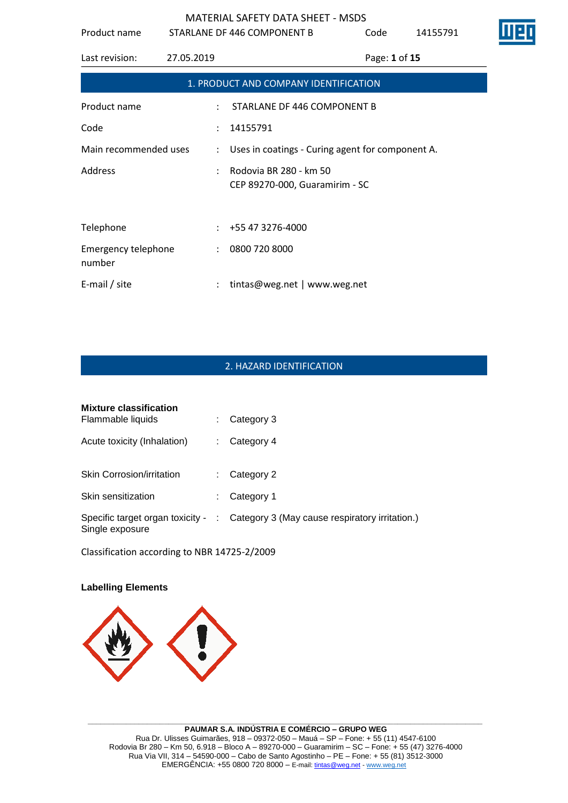| Product name                  |               | STARLANE DF 446 COMPONENT B                              | Code          | 14155791 |
|-------------------------------|---------------|----------------------------------------------------------|---------------|----------|
| Last revision:                | 27.05.2019    |                                                          | Page: 1 of 15 |          |
|                               |               | 1. PRODUCT AND COMPANY IDENTIFICATION                    |               |          |
| Product name                  |               | STARLANE DF 446 COMPONENT B                              |               |          |
| Code                          |               | 14155791                                                 |               |          |
| Main recommended uses         |               | : Uses in coatings - Curing agent for component A.       |               |          |
| Address                       |               | Rodovia BR 280 - km 50<br>CEP 89270-000, Guaramirim - SC |               |          |
|                               |               |                                                          |               |          |
| Telephone                     |               | +55 47 3276-4000                                         |               |          |
| Emergency telephone<br>number | $\mathcal{L}$ | 0800 720 8000                                            |               |          |
| E-mail / site                 |               | tintas@weg.net   www.weg.net                             |               |          |

#### 2. HAZARD IDENTIFICATION

| <b>Mixture classification</b><br>Flammable liquids  |   | Category 3                                     |
|-----------------------------------------------------|---|------------------------------------------------|
| Acute toxicity (Inhalation)                         |   | Category 4                                     |
| <b>Skin Corrosion/irritation</b>                    |   | Category 2                                     |
| Skin sensitization                                  |   | Category 1                                     |
| Specific target organ toxicity -<br>Single exposure | ÷ | Category 3 (May cause respiratory irritation.) |

Classification according to NBR 14725-2/2009

#### **Labelling Elements**



**\_\_\_\_\_\_\_\_\_\_\_\_\_\_\_\_\_\_\_\_\_\_\_\_\_\_\_\_\_\_\_\_\_\_\_\_\_\_\_\_\_\_\_\_\_\_\_\_\_\_\_\_\_\_\_\_\_\_\_\_\_\_\_\_\_\_\_\_\_\_\_\_\_\_\_\_\_\_\_\_\_\_\_\_\_\_\_\_\_\_\_\_\_ PAUMAR S.A. INDÚSTRIA E COMÉRCIO – GRUPO WEG** Rua Dr. Ulisses Guimarães, 918 – 09372-050 – Mauá – SP – Fone: + 55 (11) 4547-6100 Rodovia Br 280 – Km 50, 6.918 – Bloco A – 89270-000 – Guaramirim – SC – Fone: + 55 (47) 3276-4000 Rua Via VII, 314 – 54590-000 – Cabo de Santo Agostinho – PE – Fone: + 55 (81) 3512-3000 EMERGËNCIA: +55 0800 720 8000 – E-mail[: tintas@weg.net](mailto:tintas@weg.net) - [www.weg.net](http://www.weg.net/)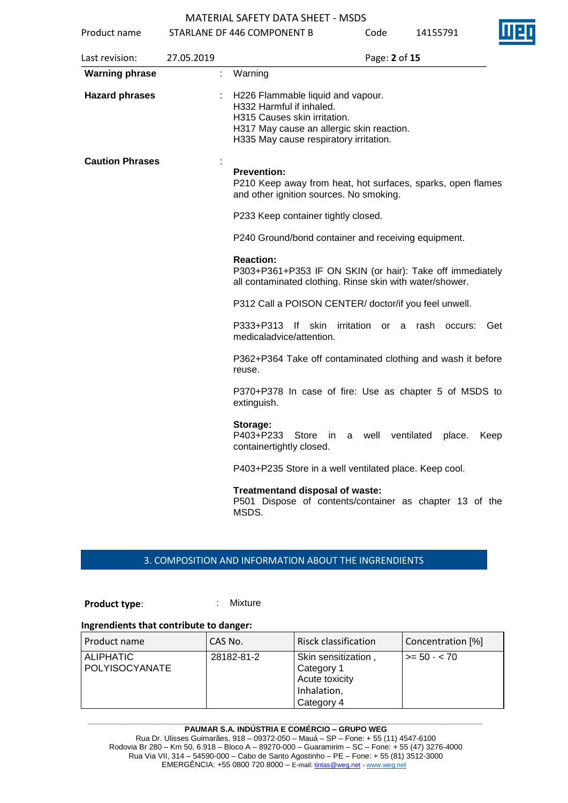| Product name           |            | STARLANE DF 446 COMPONENT B                                                                                                                                                          | Code             | 14155791             | ШЧ   |
|------------------------|------------|--------------------------------------------------------------------------------------------------------------------------------------------------------------------------------------|------------------|----------------------|------|
| Last revision:         | 27.05.2019 |                                                                                                                                                                                      | Page: 2 of 15    |                      |      |
| <b>Warning phrase</b>  |            | Warning                                                                                                                                                                              |                  |                      |      |
| <b>Hazard phrases</b>  |            | H226 Flammable liquid and vapour.<br>H332 Harmful if inhaled.<br>H315 Causes skin irritation.<br>H317 May cause an allergic skin reaction.<br>H335 May cause respiratory irritation. |                  |                      |      |
| <b>Caution Phrases</b> |            | <b>Prevention:</b><br>P210 Keep away from heat, hot surfaces, sparks, open flames<br>and other ignition sources. No smoking.<br>P233 Keep container tightly closed.                  |                  |                      |      |
|                        |            | P240 Ground/bond container and receiving equipment.                                                                                                                                  |                  |                      |      |
|                        |            | <b>Reaction:</b><br>P303+P361+P353 IF ON SKIN (or hair): Take off immediately<br>all contaminated clothing. Rinse skin with water/shower.                                            |                  |                      |      |
|                        |            | P312 Call a POISON CENTER/ doctor/if you feel unwell.                                                                                                                                |                  |                      |      |
|                        |            | P333+P313<br>lf skin<br>medicaladvice/attention.                                                                                                                                     | irritation<br>or | rash<br>a<br>occurs: | Get  |
|                        |            | P362+P364 Take off contaminated clothing and wash it before<br>reuse.                                                                                                                |                  |                      |      |
|                        |            | P370+P378 In case of fire: Use as chapter 5 of MSDS to<br>extinguish.                                                                                                                |                  |                      |      |
|                        |            | Storage:<br>P403+P233<br>Store<br>in i<br>containertightly closed.                                                                                                                   | a well           | ventilated<br>place. | Keep |
|                        |            | P403+P235 Store in a well ventilated place. Keep cool.                                                                                                                               |                  |                      |      |
|                        |            | Treatmentand disposal of waste:<br>P501 Dispose of contents/container as chapter 13 of the<br>MSDS.                                                                                  |                  |                      |      |

#### 3. COMPOSITION AND INFORMATION ABOUT THE INGRENDIENTS

**Product type:** : : : : : Mixture

#### **Ingrendients that contribute to danger:**

| Product name                       | CAS No.    | Risck classification                                                             | Concentration [%] |
|------------------------------------|------------|----------------------------------------------------------------------------------|-------------------|
| <b>ALIPHATIC</b><br>POLYISOCYANATE | 28182-81-2 | Skin sensitization,<br>Category 1<br>Acute toxicity<br>Inhalation,<br>Category 4 | $>= 50 - < 70$    |

**\_\_\_\_\_\_\_\_\_\_\_\_\_\_\_\_\_\_\_\_\_\_\_\_\_\_\_\_\_\_\_\_\_\_\_\_\_\_\_\_\_\_\_\_\_\_\_\_\_\_\_\_\_\_\_\_\_\_\_\_\_\_\_\_\_\_\_\_\_\_\_\_\_\_\_\_\_\_\_\_\_\_\_\_\_\_\_\_\_\_\_\_\_ PAUMAR S.A. INDÚSTRIA E COMÉRCIO – GRUPO WEG** Rua Dr. Ulisses Guimarães, 918 – 09372-050 – Mauá – SP – Fone: + 55 (11) 4547-6100 Rodovia Br 280 – Km 50, 6.918 – Bloco A – 89270-000 – Guaramirim – SC – Fone: + 55 (47) 3276-4000 Rua Via VII, 314 – 54590-000 – Cabo de Santo Agostinho – PE – Fone: + 55 (81) 3512-3000 EMERGËNCIA: +55 0800 720 8000 – E-mail[: tintas@weg.net](mailto:tintas@weg.net) - [www.weg.net](http://www.weg.net/)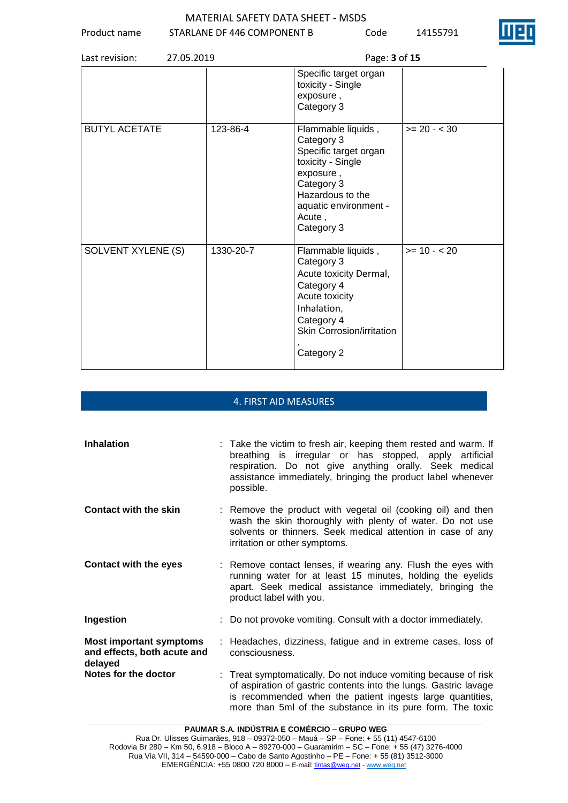Product name STARLANE DF 446 COMPONENT B Code 14155791

| 27.05.2019<br>Last revision: |           | Page: 3 of 15                                                                                                                                                                  |              |
|------------------------------|-----------|--------------------------------------------------------------------------------------------------------------------------------------------------------------------------------|--------------|
|                              |           | Specific target organ<br>toxicity - Single<br>exposure,<br>Category 3                                                                                                          |              |
| <b>BUTYL ACETATE</b>         | 123-86-4  | Flammable liquids,<br>Category 3<br>Specific target organ<br>toxicity - Single<br>exposure,<br>Category 3<br>Hazardous to the<br>aquatic environment -<br>Acute,<br>Category 3 | $>= 20 - 30$ |
| SOLVENT XYLENE (S)           | 1330-20-7 | Flammable liquids,<br>Category 3<br>Acute toxicity Dermal,<br>Category 4<br>Acute toxicity<br>Inhalation,<br>Category 4<br>Skin Corrosion/irritation<br>Category 2             | $>= 10 - 20$ |

#### 4. FIRST AID MEASURES

| Inhalation                                                               | : Take the victim to fresh air, keeping them rested and warm. If<br>breathing is irregular or has stopped, apply artificial<br>respiration. Do not give anything orally. Seek medical<br>assistance immediately, bringing the product label whenever<br>possible. |
|--------------------------------------------------------------------------|-------------------------------------------------------------------------------------------------------------------------------------------------------------------------------------------------------------------------------------------------------------------|
| <b>Contact with the skin</b>                                             | : Remove the product with vegetal oil (cooking oil) and then<br>wash the skin thoroughly with plenty of water. Do not use<br>solvents or thinners. Seek medical attention in case of any<br>irritation or other symptoms.                                         |
| <b>Contact with the eyes</b>                                             | : Remove contact lenses, if wearing any. Flush the eyes with<br>running water for at least 15 minutes, holding the eyelids<br>apart. Seek medical assistance immediately, bringing the<br>product label with you.                                                 |
| Ingestion                                                                | : Do not provoke vomiting. Consult with a doctor immediately.                                                                                                                                                                                                     |
| <b>Most important symptoms</b><br>and effects, both acute and<br>delayed | : Headaches, dizziness, fatigue and in extreme cases, loss of<br>consciousness.                                                                                                                                                                                   |
| Notes for the doctor                                                     | : Treat symptomatically. Do not induce vomiting because of risk<br>of aspiration of gastric contents into the lungs. Gastric lavage<br>is recommended when the patient ingests large quantities,<br>more than 5ml of the substance in its pure form. The toxic    |

**\_\_\_\_\_\_\_\_\_\_\_\_\_\_\_\_\_\_\_\_\_\_\_\_\_\_\_\_\_\_\_\_\_\_\_\_\_\_\_\_\_\_\_\_\_\_\_\_\_\_\_\_\_\_\_\_\_\_\_\_\_\_\_\_\_\_\_\_\_\_\_\_\_\_\_\_\_\_\_\_\_\_\_\_\_\_\_\_\_\_\_\_\_ PAUMAR S.A. INDÚSTRIA E COMÉRCIO – GRUPO WEG**

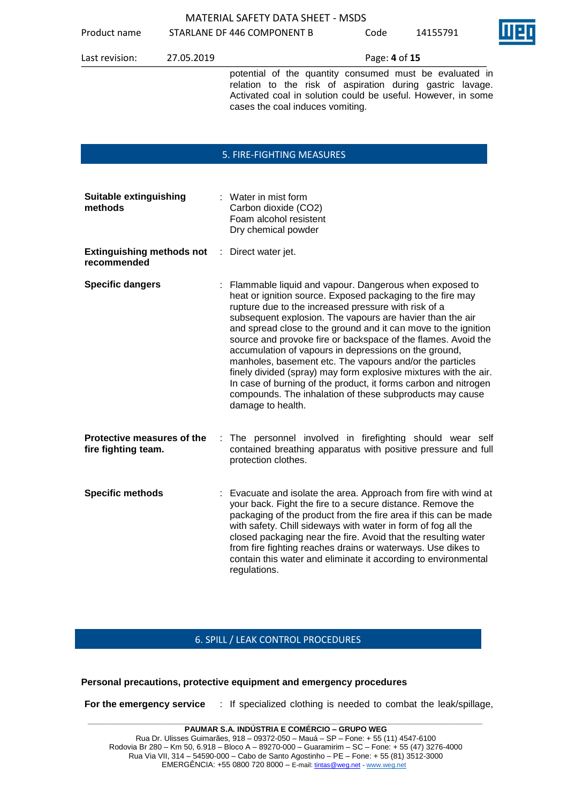Product name STARLANE DF 446 COMPONENT B Code 14155791



Last revision: 27.05.2019 Page: **4** of **15**

potential of the quantity consumed must be evaluated in relation to the risk of aspiration during gastric lavage. Activated coal in solution could be useful. However, in some cases the coal induces vomiting.

#### 5. FIRE-FIGHTING MEASURES

| <b>Suitable extinguishing</b><br>methods          |    | : Water in mist form<br>Carbon dioxide (CO2)<br>Foam alcohol resistent<br>Dry chemical powder                                                                                                                                                                                                                                                                                                                                                                                                                                                                                                                                                                                                                             |
|---------------------------------------------------|----|---------------------------------------------------------------------------------------------------------------------------------------------------------------------------------------------------------------------------------------------------------------------------------------------------------------------------------------------------------------------------------------------------------------------------------------------------------------------------------------------------------------------------------------------------------------------------------------------------------------------------------------------------------------------------------------------------------------------------|
| <b>Extinguishing methods not</b><br>recommended   | ÷. | Direct water jet.                                                                                                                                                                                                                                                                                                                                                                                                                                                                                                                                                                                                                                                                                                         |
| <b>Specific dangers</b>                           |    | Flammable liquid and vapour. Dangerous when exposed to<br>heat or ignition source. Exposed packaging to the fire may<br>rupture due to the increased pressure with risk of a<br>subsequent explosion. The vapours are havier than the air<br>and spread close to the ground and it can move to the ignition<br>source and provoke fire or backspace of the flames. Avoid the<br>accumulation of vapours in depressions on the ground,<br>manholes, basement etc. The vapours and/or the particles<br>finely divided (spray) may form explosive mixtures with the air.<br>In case of burning of the product, it forms carbon and nitrogen<br>compounds. The inhalation of these subproducts may cause<br>damage to health. |
| Protective measures of the<br>fire fighting team. |    | The personnel involved in firefighting should wear self<br>contained breathing apparatus with positive pressure and full<br>protection clothes.                                                                                                                                                                                                                                                                                                                                                                                                                                                                                                                                                                           |
| <b>Specific methods</b>                           |    | Evacuate and isolate the area. Approach from fire with wind at<br>your back. Fight the fire to a secure distance. Remove the<br>packaging of the product from the fire area if this can be made<br>with safety. Chill sideways with water in form of fog all the<br>closed packaging near the fire. Avoid that the resulting water<br>from fire fighting reaches drains or waterways. Use dikes to<br>contain this water and eliminate it according to environmental<br>regulations.                                                                                                                                                                                                                                      |

#### 6. SPILL / LEAK CONTROL PROCEDURES

#### **Personal precautions, protective equipment and emergency procedures**

**For the emergency service** : If specialized clothing is needed to combat the leak/spillage,

**\_\_\_\_\_\_\_\_\_\_\_\_\_\_\_\_\_\_\_\_\_\_\_\_\_\_\_\_\_\_\_\_\_\_\_\_\_\_\_\_\_\_\_\_\_\_\_\_\_\_\_\_\_\_\_\_\_\_\_\_\_\_\_\_\_\_\_\_\_\_\_\_\_\_\_\_\_\_\_\_\_\_\_\_\_\_\_\_\_\_\_\_\_ PAUMAR S.A. INDÚSTRIA E COMÉRCIO – GRUPO WEG** Rua Dr. Ulisses Guimarães, 918 – 09372-050 – Mauá – SP – Fone: + 55 (11) 4547-6100 Rodovia Br 280 – Km 50, 6.918 – Bloco A – 89270-000 – Guaramirim – SC – Fone: + 55 (47) 3276-4000 Rua Via VII, 314 – 54590-000 – Cabo de Santo Agostinho – PE – Fone: + 55 (81) 3512-3000 EMERGÊNCIA: +55 0800 720 8000 – E-mail[: tintas@weg.net](mailto:tintas@weg.net) - [www.weg.net](http://www.weg.net/)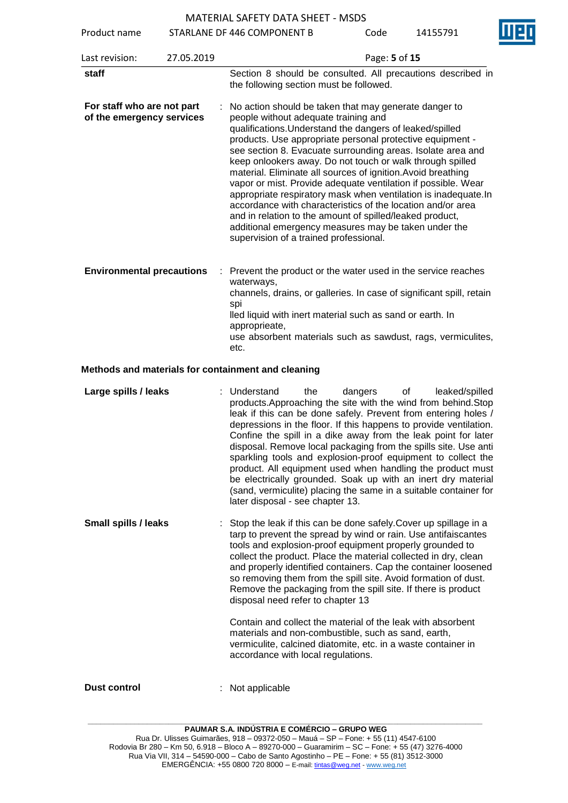Product name STARLANE DF 446 COMPONENT B Code 14155791

Last revision: 27.05.2019 Page: **5** of **15** staff **Section 8** should be consulted. All precautions described in the following section must be followed. **For staff who are not part of the emergency services** : No action should be taken that may generate danger to people without adequate training and qualifications.Understand the dangers of leaked/spilled products. Use appropriate personal protective equipment see section 8. Evacuate surrounding areas. Isolate area and keep onlookers away. Do not touch or walk through spilled material. Eliminate all sources of ignition.Avoid breathing vapor or mist. Provide adequate ventilation if possible. Wear appropriate respiratory mask when ventilation is inadequate.In accordance with characteristics of the location and/or area and in relation to the amount of spilled/leaked product, additional emergency measures may be taken under the supervision of a trained professional. **Environmental precautions** : Prevent the product or the water used in the service reaches waterways,

channels, drains, or galleries. In case of significant spill, retain spi lled liquid with inert material such as sand or earth. In approprieate, use absorbent materials such as sawdust, rags, vermiculites, etc.

#### **Methods and materials for containment and cleaning**

| (sand, vermiculite) placing the same in a suitable container for<br>later disposal - see chapter 13.                                                                                                                                                                                                                                                                                                                                                                                                                                                                                                                                                                                                                                                                    |
|-------------------------------------------------------------------------------------------------------------------------------------------------------------------------------------------------------------------------------------------------------------------------------------------------------------------------------------------------------------------------------------------------------------------------------------------------------------------------------------------------------------------------------------------------------------------------------------------------------------------------------------------------------------------------------------------------------------------------------------------------------------------------|
| Stop the leak if this can be done safely. Cover up spillage in a<br><b>Small spills / leaks</b><br>tarp to prevent the spread by wind or rain. Use antifaiscantes<br>tools and explosion-proof equipment properly grounded to<br>collect the product. Place the material collected in dry, clean<br>and properly identified containers. Cap the container loosened<br>so removing them from the spill site. Avoid formation of dust.<br>Remove the packaging from the spill site. If there is product<br>disposal need refer to chapter 13<br>Contain and collect the material of the leak with absorbent<br>materials and non-combustible, such as sand, earth,<br>vermiculite, calcined diatomite, etc. in a waste container in<br>accordance with local regulations. |

**Dust control** : Not applicable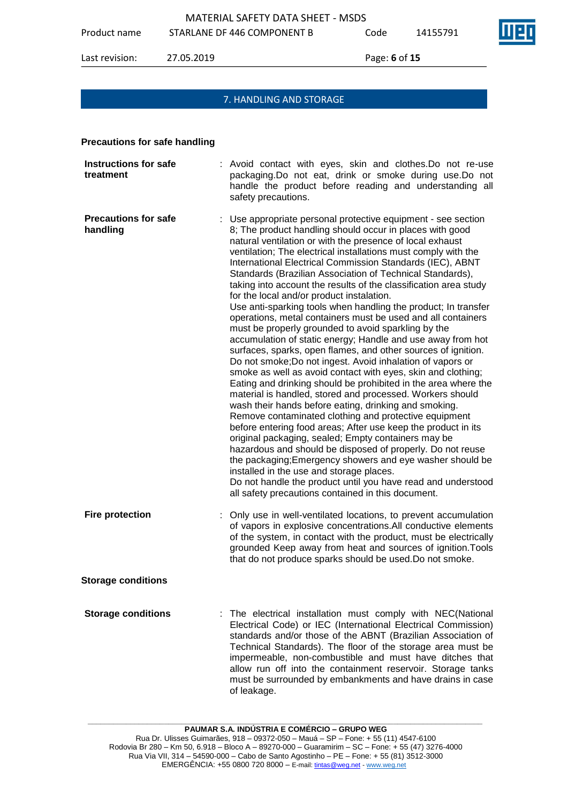Product name STARLANE DF 446 COMPONENT B Code 14155791

Last revision: 27.05.2019 Page: **6** of **15**

#### 7. HANDLING AND STORAGE

#### **Precautions for safe handling**

| <b>Instructions for safe</b><br>treatment | : Avoid contact with eyes, skin and clothes. Do not re-use<br>packaging.Do not eat, drink or smoke during use.Do not<br>handle the product before reading and understanding all<br>safety precautions.                                                                                                                                                                                                                                                                                                                                                                                                                                                                                                                                                                                                                                                                                                                                                                                                                                                                                                                                                                                                                                                                                                                                                                                                                                                                                                                                                                                                                           |
|-------------------------------------------|----------------------------------------------------------------------------------------------------------------------------------------------------------------------------------------------------------------------------------------------------------------------------------------------------------------------------------------------------------------------------------------------------------------------------------------------------------------------------------------------------------------------------------------------------------------------------------------------------------------------------------------------------------------------------------------------------------------------------------------------------------------------------------------------------------------------------------------------------------------------------------------------------------------------------------------------------------------------------------------------------------------------------------------------------------------------------------------------------------------------------------------------------------------------------------------------------------------------------------------------------------------------------------------------------------------------------------------------------------------------------------------------------------------------------------------------------------------------------------------------------------------------------------------------------------------------------------------------------------------------------------|
| <b>Precautions for safe</b><br>handling   | : Use appropriate personal protective equipment - see section<br>8; The product handling should occur in places with good<br>natural ventilation or with the presence of local exhaust<br>ventilation; The electrical installations must comply with the<br>International Electrical Commission Standards (IEC), ABNT<br>Standards (Brazilian Association of Technical Standards),<br>taking into account the results of the classification area study<br>for the local and/or product instalation.<br>Use anti-sparking tools when handling the product; In transfer<br>operations, metal containers must be used and all containers<br>must be properly grounded to avoid sparkling by the<br>accumulation of static energy; Handle and use away from hot<br>surfaces, sparks, open flames, and other sources of ignition.<br>Do not smoke; Do not ingest. Avoid inhalation of vapors or<br>smoke as well as avoid contact with eyes, skin and clothing;<br>Eating and drinking should be prohibited in the area where the<br>material is handled, stored and processed. Workers should<br>wash their hands before eating, drinking and smoking.<br>Remove contaminated clothing and protective equipment<br>before entering food areas; After use keep the product in its<br>original packaging, sealed; Empty containers may be<br>hazardous and should be disposed of properly. Do not reuse<br>the packaging; Emergency showers and eye washer should be<br>installed in the use and storage places.<br>Do not handle the product until you have read and understood<br>all safety precautions contained in this document. |
| <b>Fire protection</b>                    | Only use in well-ventilated locations, to prevent accumulation<br>of vapors in explosive concentrations. All conductive elements<br>of the system, in contact with the product, must be electrically<br>grounded Keep away from heat and sources of ignition. Tools<br>that do not produce sparks should be used. Do not smoke.                                                                                                                                                                                                                                                                                                                                                                                                                                                                                                                                                                                                                                                                                                                                                                                                                                                                                                                                                                                                                                                                                                                                                                                                                                                                                                  |
| <b>Storage conditions</b>                 |                                                                                                                                                                                                                                                                                                                                                                                                                                                                                                                                                                                                                                                                                                                                                                                                                                                                                                                                                                                                                                                                                                                                                                                                                                                                                                                                                                                                                                                                                                                                                                                                                                  |
| <b>Storage conditions</b>                 | The electrical installation must comply with NEC(National<br>Electrical Code) or IEC (International Electrical Commission)<br>standards and/or those of the ABNT (Brazilian Association of<br>Technical Standards). The floor of the storage area must be<br>impermeable, non-combustible and must have ditches that<br>allow run off into the containment reservoir. Storage tanks<br>must be surrounded by embankments and have drains in case<br>of leakage.                                                                                                                                                                                                                                                                                                                                                                                                                                                                                                                                                                                                                                                                                                                                                                                                                                                                                                                                                                                                                                                                                                                                                                  |

**\_\_\_\_\_\_\_\_\_\_\_\_\_\_\_\_\_\_\_\_\_\_\_\_\_\_\_\_\_\_\_\_\_\_\_\_\_\_\_\_\_\_\_\_\_\_\_\_\_\_\_\_\_\_\_\_\_\_\_\_\_\_\_\_\_\_\_\_\_\_\_\_\_\_\_\_\_\_\_\_\_\_\_\_\_\_\_\_\_\_\_\_\_**

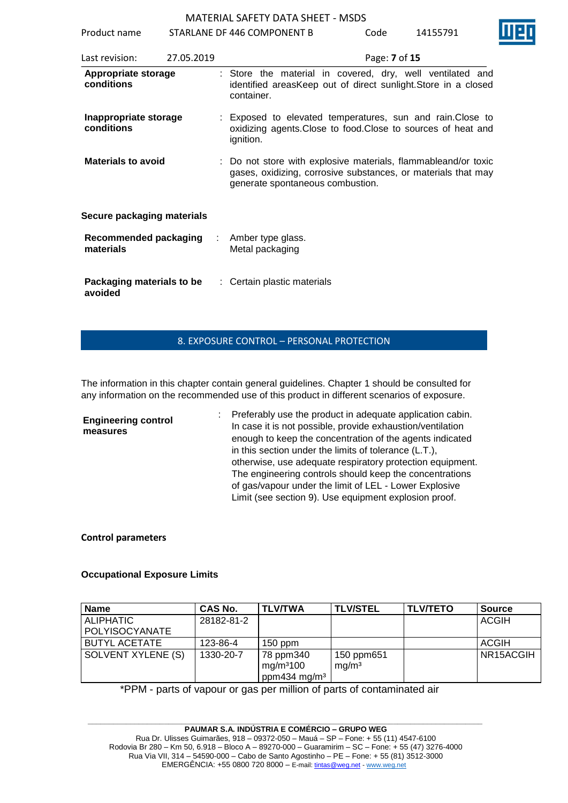Product name STARLANE DF 446 COMPONENT B Code 14155791

| Last revision:                      | 27.05.2019 | Page: 7 of 15                                                                                                                                                       |
|-------------------------------------|------------|---------------------------------------------------------------------------------------------------------------------------------------------------------------------|
| Appropriate storage<br>conditions   |            | : Store the material in covered, dry, well ventilated and<br>identified areasKeep out of direct sunlight. Store in a closed<br>container.                           |
| Inappropriate storage<br>conditions |            | : Exposed to elevated temperatures, sun and rain. Close to<br>oxidizing agents. Close to food. Close to sources of heat and<br>ignition.                            |
| <b>Materials to avoid</b>           |            | : Do not store with explosive materials, flammableand/or toxic<br>gases, oxidizing, corrosive substances, or materials that may<br>generate spontaneous combustion. |
| Secure packaging materials          |            |                                                                                                                                                                     |
| Recommended packaging<br>materials  | ÷          | Amber type glass.<br>Metal packaging                                                                                                                                |
| Packaging materials to be           |            | : Certain plastic materials                                                                                                                                         |

#### 8. EXPOSURE CONTROL – PERSONAL PROTECTION

The information in this chapter contain general guidelines. Chapter 1 should be consulted for any information on the recommended use of this product in different scenarios of exposure.

**Engineering control measures** : Preferably use the product in adequate application cabin. In case it is not possible, provide exhaustion/ventilation enough to keep the concentration of the agents indicated in this section under the limits of tolerance (L.T.), otherwise, use adequate respiratory protection equipment. The engineering controls should keep the concentrations of gas/vapour under the limit of LEL - Lower Explosive Limit (see section 9). Use equipment explosion proof.

#### **Control parameters**

**avoided**

#### **Occupational Exposure Limits**

| <b>Name</b>          | CAS No.    | <b>TLV/TWA</b>                                                 | <b>TLV/STEL</b>                 | <b>TLV/TETO</b> | <b>Source</b> |
|----------------------|------------|----------------------------------------------------------------|---------------------------------|-----------------|---------------|
| <b>ALIPHATIC</b>     | 28182-81-2 |                                                                |                                 |                 | <b>ACGIH</b>  |
| POLYISOCYANATE       |            |                                                                |                                 |                 |               |
| <b>BUTYL ACETATE</b> | 123-86-4   | $150$ ppm                                                      |                                 |                 | <b>ACGIH</b>  |
| SOLVENT XYLENE (S)   | 1330-20-7  | 78 ppm340<br>mg/m <sup>3</sup> 100<br>ppm434 mg/m <sup>3</sup> | 150 ppm651<br>mg/m <sup>3</sup> |                 | NR15ACGIH     |

\*PPM - parts of vapour or gas per million of parts of contaminated air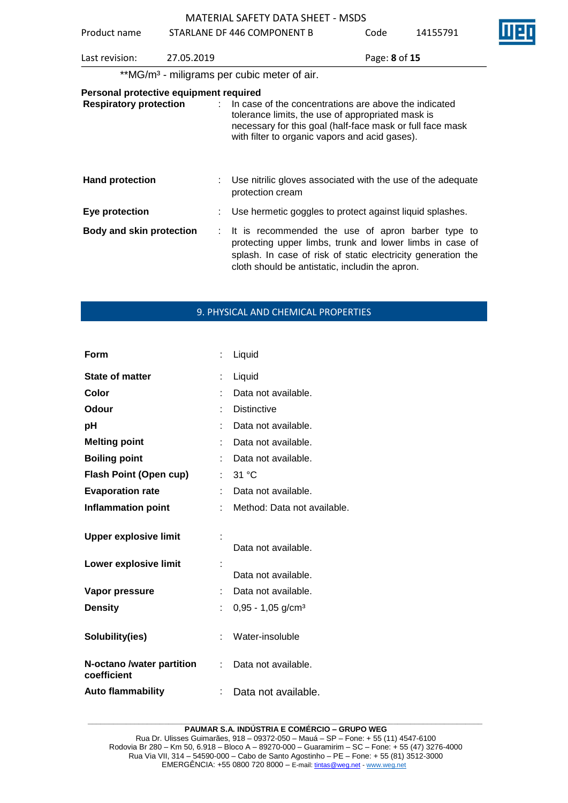| Product name                                                            |            | STARLANE DF 446 COMPONENT B                                                                                                                                                                                                      | Code          | 14155791 |  |
|-------------------------------------------------------------------------|------------|----------------------------------------------------------------------------------------------------------------------------------------------------------------------------------------------------------------------------------|---------------|----------|--|
| Last revision:                                                          | 27.05.2019 |                                                                                                                                                                                                                                  | Page: 8 of 15 |          |  |
|                                                                         |            | **MG/m <sup>3</sup> - miligrams per cubic meter of air.                                                                                                                                                                          |               |          |  |
| Personal protective equipment required<br><b>Respiratory protection</b> |            | : In case of the concentrations are above the indicated<br>tolerance limits, the use of appropriated mask is<br>necessary for this goal (half-face mask or full face mask<br>with filter to organic vapors and acid gases).      |               |          |  |
| <b>Hand protection</b>                                                  |            | Use nitrilic gloves associated with the use of the adequate<br>protection cream                                                                                                                                                  |               |          |  |
| Eye protection                                                          |            | : Use hermetic goggles to protect against liquid splashes.                                                                                                                                                                       |               |          |  |
| <b>Body and skin protection</b>                                         |            | It is recommended the use of apron barber type to<br>protecting upper limbs, trunk and lower limbs in case of<br>splash. In case of risk of static electricity generation the<br>cloth should be antistatic, includin the apron. |               |          |  |

#### 9. PHYSICAL AND CHEMICAL PROPERTIES

| Form                                     |    | Liquid                          |
|------------------------------------------|----|---------------------------------|
| <b>State of matter</b>                   | ÷  | Liquid                          |
| Color                                    |    | Data not available.             |
| Odour                                    |    | <b>Distinctive</b>              |
| рH                                       |    | Data not available.             |
| <b>Melting point</b>                     |    | Data not available.             |
| <b>Boiling point</b>                     |    | Data not available.             |
| <b>Flash Point (Open cup)</b>            | t. | 31 °C                           |
| <b>Evaporation rate</b>                  |    | Data not available.             |
| <b>Inflammation point</b>                | t. | Method: Data not available.     |
|                                          |    |                                 |
|                                          |    |                                 |
| <b>Upper explosive limit</b>             |    | Data not available.             |
|                                          | t  |                                 |
| Lower explosive limit                    |    | Data not available.             |
| Vapor pressure                           |    | Data not available.             |
| <b>Density</b>                           |    | $0,95 - 1,05$ g/cm <sup>3</sup> |
|                                          |    |                                 |
| Solubility(ies)                          |    | Water-insoluble                 |
| N-octano /water partition<br>coefficient | ÷. | Data not available.             |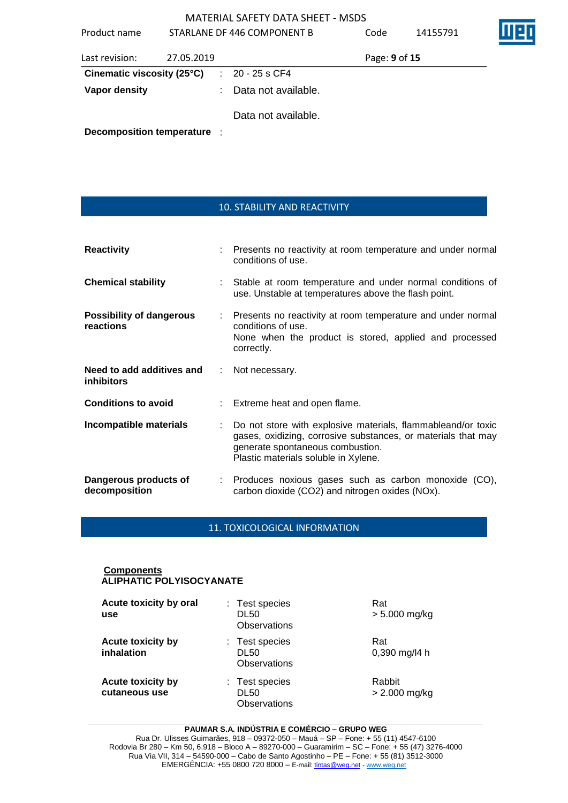| Product name<br>STARLANE DF 446 COMPONENT B |            |      | Code                | 14155791      |  |  |
|---------------------------------------------|------------|------|---------------------|---------------|--|--|
| Last revision:                              | 27.05.2019 |      |                     | Page: 9 of 15 |  |  |
| Cinematic viscosity (25°C)                  |            | di l | 20 - 25 s CF4       |               |  |  |
| Vapor density                               |            |      | Data not available. |               |  |  |
|                                             |            |      | Data not available. |               |  |  |
| <b>Decomposition temperature</b>            |            |      |                     |               |  |  |

#### 10. STABILITY AND REACTIVITY

| <b>Reactivity</b>                              |               | Presents no reactivity at room temperature and under normal<br>conditions of use.                                                                                                                         |
|------------------------------------------------|---------------|-----------------------------------------------------------------------------------------------------------------------------------------------------------------------------------------------------------|
| <b>Chemical stability</b>                      |               | Stable at room temperature and under normal conditions of<br>use. Unstable at temperatures above the flash point.                                                                                         |
| <b>Possibility of dangerous</b><br>reactions   |               | Presents no reactivity at room temperature and under normal<br>conditions of use.<br>None when the product is stored, applied and processed<br>correctly.                                                 |
| Need to add additives and<br><b>inhibitors</b> | $\mathcal{L}$ | Not necessary.                                                                                                                                                                                            |
| <b>Conditions to avoid</b>                     |               | Extreme heat and open flame.                                                                                                                                                                              |
| Incompatible materials                         |               | Do not store with explosive materials, flammableand/or toxic<br>gases, oxidizing, corrosive substances, or materials that may<br>generate spontaneous combustion.<br>Plastic materials soluble in Xylene. |
| Dangerous products of<br>decomposition         |               | : Produces noxious gases such as carbon monoxide (CO),<br>carbon dioxide (CO2) and nitrogen oxides (NOx).                                                                                                 |

#### 11. TOXICOLOGICAL INFORMATION

#### **Components ALIPHATIC POLYISOCYANATE**

| Acute toxicity by oral<br>use             | : Test species<br><b>DL50</b><br>Observations | Rat<br>$> 5.000$ mg/kg    |
|-------------------------------------------|-----------------------------------------------|---------------------------|
| <b>Acute toxicity by</b><br>inhalation    | : Test species<br>DL50<br>Observations        | Rat<br>$0,390$ mg/l4 h    |
| <b>Acute toxicity by</b><br>cutaneous use | : Test species<br><b>DL50</b><br>Observations | Rabbit<br>$> 2.000$ mg/kg |

#### **\_\_\_\_\_\_\_\_\_\_\_\_\_\_\_\_\_\_\_\_\_\_\_\_\_\_\_\_\_\_\_\_\_\_\_\_\_\_\_\_\_\_\_\_\_\_\_\_\_\_\_\_\_\_\_\_\_\_\_\_\_\_\_\_\_\_\_\_\_\_\_\_\_\_\_\_\_\_\_\_\_\_\_\_\_\_\_\_\_\_\_\_\_ PAUMAR S.A. INDÚSTRIA E COMÉRCIO – GRUPO WEG**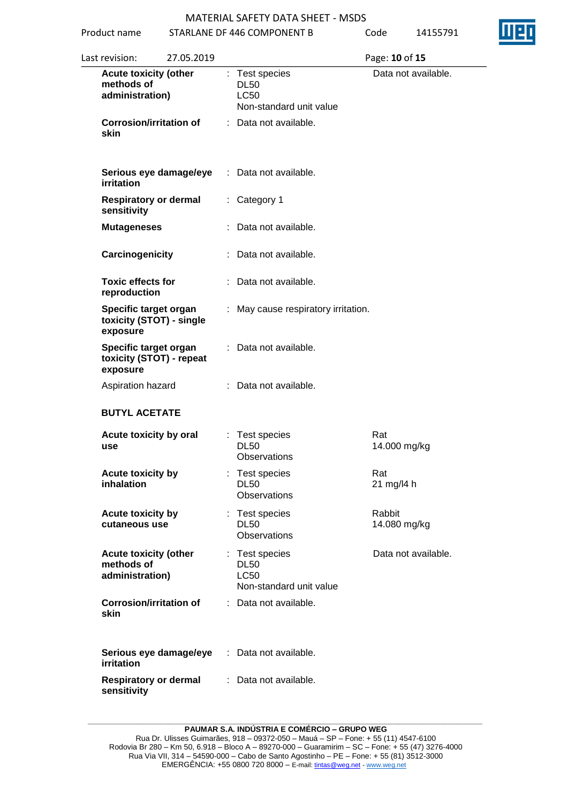Product name STARLANE DF 446 COMPONENT B Code 14155791

| Last revision:    | 27.05.2019                                                    |                                                                         | Page: 10 of 15         |
|-------------------|---------------------------------------------------------------|-------------------------------------------------------------------------|------------------------|
|                   | <b>Acute toxicity (other</b><br>methods of<br>administration) | : Test species<br><b>DL50</b><br><b>LC50</b><br>Non-standard unit value | Data not available.    |
| skin              | <b>Corrosion/irritation of</b>                                | : Data not available.                                                   |                        |
| irritation        | Serious eye damage/eye                                        | : Data not available.                                                   |                        |
| sensitivity       | <b>Respiratory or dermal</b>                                  | : Category 1                                                            |                        |
|                   | <b>Mutageneses</b>                                            | : Data not available.                                                   |                        |
|                   | Carcinogenicity                                               | : Data not available.                                                   |                        |
|                   | <b>Toxic effects for</b><br>reproduction                      | : Data not available.                                                   |                        |
| exposure          | Specific target organ<br>toxicity (STOT) - single             | : May cause respiratory irritation.                                     |                        |
| exposure          | Specific target organ<br>toxicity (STOT) - repeat             | : Data not available.                                                   |                        |
|                   | Aspiration hazard                                             | : Data not available.                                                   |                        |
|                   | <b>BUTYL ACETATE</b>                                          |                                                                         |                        |
| use               | Acute toxicity by oral                                        | : Test species<br><b>DL50</b><br>Observations                           | Rat<br>14.000 mg/kg    |
| inhalation        | Acute toxicity by                                             | : Test species<br><b>DL50</b><br>Observations                           | Rat<br>21 mg/l4 h      |
|                   | Acute toxicity by<br>cutaneous use                            | : Test species<br><b>DL50</b><br>Observations                           | Rabbit<br>14.080 mg/kg |
|                   | <b>Acute toxicity (other</b><br>methods of<br>administration) | : Test species<br><b>DL50</b><br><b>LC50</b><br>Non-standard unit value | Data not available.    |
| skin              | <b>Corrosion/irritation of</b>                                | : Data not available.                                                   |                        |
| <b>irritation</b> | Serious eye damage/eye                                        | : Data not available.                                                   |                        |
| sensitivity       | <b>Respiratory or dermal</b>                                  | : Data not available.                                                   |                        |

**\_\_\_\_\_\_\_\_\_\_\_\_\_\_\_\_\_\_\_\_\_\_\_\_\_\_\_\_\_\_\_\_\_\_\_\_\_\_\_\_\_\_\_\_\_\_\_\_\_\_\_\_\_\_\_\_\_\_\_\_\_\_\_\_\_\_\_\_\_\_\_\_\_\_\_\_\_\_\_\_\_\_\_\_\_\_\_\_\_\_\_\_\_ PAUMAR S.A. INDÚSTRIA E COMÉRCIO – GRUPO WEG**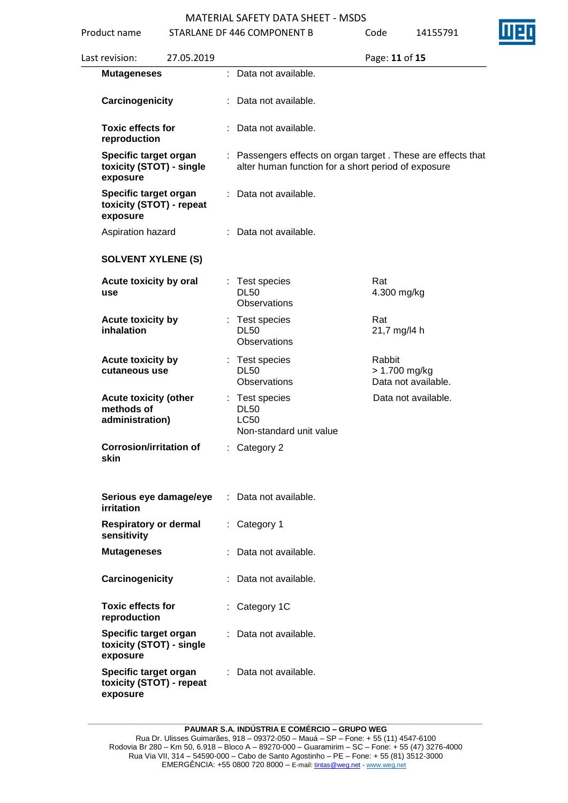| Product name                                                  |            | STARLANE DF 446 COMPONENT B                                                                                         | Code   | 14155791                             |
|---------------------------------------------------------------|------------|---------------------------------------------------------------------------------------------------------------------|--------|--------------------------------------|
| Last revision:                                                | 27.05.2019 |                                                                                                                     |        | Page: 11 of 15                       |
| <b>Mutageneses</b>                                            |            | : Data not available.                                                                                               |        |                                      |
| Carcinogenicity                                               |            | Data not available.                                                                                                 |        |                                      |
| <b>Toxic effects for</b><br>reproduction                      |            | Data not available.                                                                                                 |        |                                      |
| Specific target organ<br>toxicity (STOT) - single<br>exposure |            | : Passengers effects on organ target. These are effects that<br>alter human function for a short period of exposure |        |                                      |
| Specific target organ<br>toxicity (STOT) - repeat<br>exposure |            | Data not available.                                                                                                 |        |                                      |
| Aspiration hazard                                             |            | : Data not available.                                                                                               |        |                                      |
| <b>SOLVENT XYLENE (S)</b>                                     |            |                                                                                                                     |        |                                      |
| Acute toxicity by oral<br>use                                 |            | Test species<br><b>DL50</b><br><b>Observations</b>                                                                  | Rat    | 4.300 mg/kg                          |
| Acute toxicity by<br>inhalation                               |            | Test species<br><b>DL50</b><br><b>Observations</b>                                                                  | Rat    | 21,7 mg/l4 h                         |
| Acute toxicity by<br>cutaneous use                            |            | Test species<br><b>DL50</b><br><b>Observations</b>                                                                  | Rabbit | > 1.700 mg/kg<br>Data not available. |
| <b>Acute toxicity (other</b><br>methods of<br>administration) |            | : Test species<br><b>DL50</b><br><b>LC50</b><br>Non-standard unit value                                             |        | Data not available.                  |
| <b>Corrosion/irritation of</b><br>skin                        |            | : Category 2                                                                                                        |        |                                      |
| Serious eye damage/eye<br>irritation                          |            | Data not available.                                                                                                 |        |                                      |
| <b>Respiratory or dermal</b><br>sensitivity                   |            | : Category 1                                                                                                        |        |                                      |
| <b>Mutageneses</b>                                            |            | Data not available.                                                                                                 |        |                                      |
| Carcinogenicity                                               |            | : Data not available.                                                                                               |        |                                      |
| <b>Toxic effects for</b><br>reproduction                      |            | Category 1C                                                                                                         |        |                                      |
| Specific target organ<br>toxicity (STOT) - single<br>exposure |            | Data not available.                                                                                                 |        |                                      |
| Specific target organ<br>toxicity (STOT) - repeat<br>exposure |            | Data not available.                                                                                                 |        |                                      |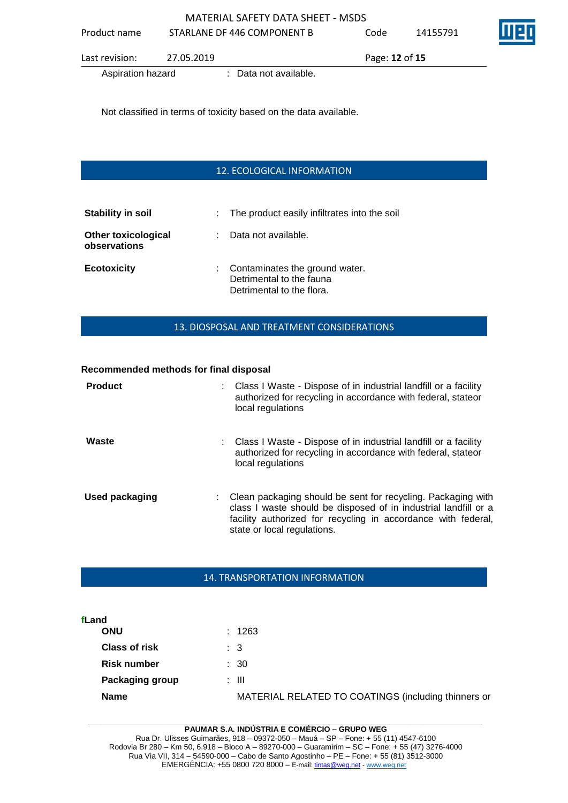Aspiration hazard : Data not available.

Not classified in terms of toxicity based on the data available.

## 12. ECOLOGICAL INFORMATION

| <b>Stability in soil</b>                   | : The product easily infiltrates into the soil                                            |
|--------------------------------------------|-------------------------------------------------------------------------------------------|
| <b>Other toxicological</b><br>observations | : Data not available.                                                                     |
| <b>Ecotoxicity</b>                         | : Contaminates the ground water.<br>Detrimental to the fauna<br>Detrimental to the flora. |

### 13. DIOSPOSAL AND TREATMENT CONSIDERATIONS

#### **Recommended methods for final disposal**

| <b>Product</b> | : Class I Waste - Dispose of in industrial landfill or a facility<br>authorized for recycling in accordance with federal, stateor<br>local regulations                                                                            |
|----------------|-----------------------------------------------------------------------------------------------------------------------------------------------------------------------------------------------------------------------------------|
| Waste          | : Class I Waste - Dispose of in industrial landfill or a facility<br>authorized for recycling in accordance with federal, stateor<br>local regulations                                                                            |
| Used packaging | : Clean packaging should be sent for recycling. Packaging with<br>class I waste should be disposed of in industrial landfill or a<br>facility authorized for recycling in accordance with federal,<br>state or local regulations. |

#### 14. TRANSPORTATION INFORMATION

| fLand                |                                                     |
|----------------------|-----------------------------------------------------|
| <b>ONU</b>           | : 1263                                              |
| <b>Class of risk</b> | : 3                                                 |
| Risk number          | : 30                                                |
| Packaging group      | : III                                               |
| <b>Name</b>          | MATERIAL RELATED TO COATINGS (including thinners or |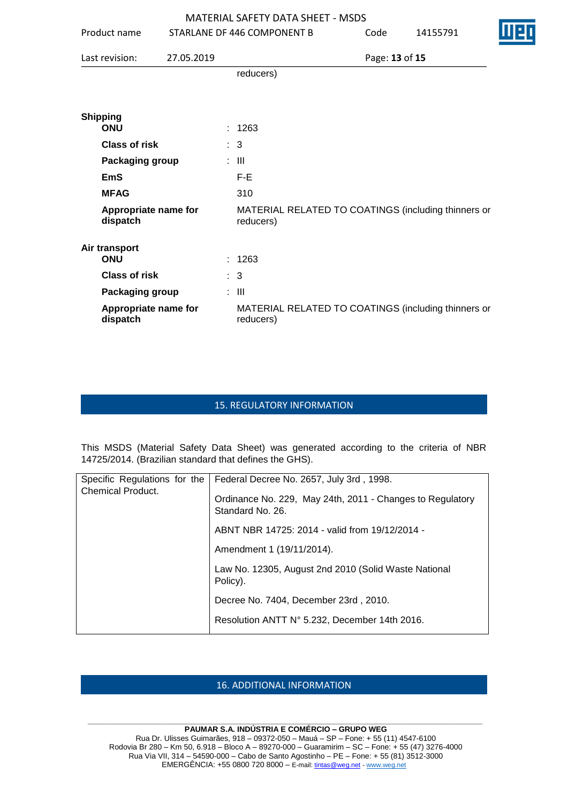| Product name                     |            | STARLANE DF 446 COMPONENT B                                      | Code           | 14155791 | I 12 |
|----------------------------------|------------|------------------------------------------------------------------|----------------|----------|------|
| Last revision:                   | 27.05.2019 |                                                                  | Page: 13 of 15 |          |      |
|                                  |            | reducers)                                                        |                |          |      |
| <b>Shipping</b><br><b>ONU</b>    |            |                                                                  |                |          |      |
| <b>Class of risk</b>             |            | : 1263<br>: 3                                                    |                |          |      |
| Packaging group                  |            | $\therefore$ $\blacksquare$                                      |                |          |      |
| <b>EmS</b>                       |            |                                                                  |                |          |      |
|                                  |            | F-E                                                              |                |          |      |
| <b>MFAG</b>                      |            | 310                                                              |                |          |      |
| Appropriate name for<br>dispatch |            | MATERIAL RELATED TO COATINGS (including thinners or<br>reducers) |                |          |      |
| Air transport<br><b>ONU</b>      |            | : 1263                                                           |                |          |      |
| <b>Class of risk</b>             |            | $\therefore$ 3                                                   |                |          |      |
| Packaging group                  |            | $\therefore$ $\blacksquare$                                      |                |          |      |
| Appropriate name for<br>dispatch |            | MATERIAL RELATED TO COATINGS (including thinners or<br>reducers) |                |          |      |

#### 15. REGULATORY INFORMATION

This MSDS (Material Safety Data Sheet) was generated according to the criteria of NBR 14725/2014. (Brazilian standard that defines the GHS).

| Specific Regulations for the | Federal Decree No. 2657, July 3rd, 1998.                                      |
|------------------------------|-------------------------------------------------------------------------------|
| <b>Chemical Product.</b>     | Ordinance No. 229, May 24th, 2011 - Changes to Regulatory<br>Standard No. 26. |
|                              | ABNT NBR 14725: 2014 - valid from 19/12/2014 -                                |
|                              | Amendment 1 (19/11/2014).                                                     |
|                              | Law No. 12305, August 2nd 2010 (Solid Waste National<br>Policy).              |
|                              | Decree No. 7404, December 23rd, 2010.                                         |
|                              | Resolution ANTT N° 5.232, December 14th 2016.                                 |
|                              |                                                                               |

#### 16. ADDITIONAL INFORMATION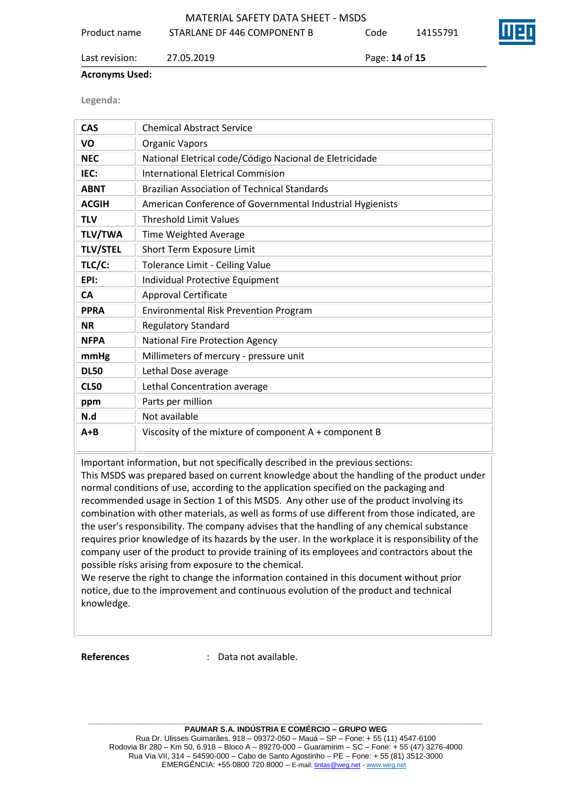|              | MATERIAL SAFETY DATA SHEET - MSDS |      |          |                    |  |
|--------------|-----------------------------------|------|----------|--------------------|--|
| Product name | STARLANE DF 446 COMPONENT B       | Code | 14155791 | $\boldsymbol{\Pi}$ |  |

#### Last revision: 27.05.2019 Page: **14** of **15**

#### **Acronyms Used:**

**Legenda:**

| <b>CAS</b>      | <b>Chemical Abstract Service</b>                          |
|-----------------|-----------------------------------------------------------|
| VO              | <b>Organic Vapors</b>                                     |
| <b>NEC</b>      | National Eletrical code/Código Nacional de Eletricidade   |
| IEC:            | <b>International Eletrical Commision</b>                  |
| <b>ABNT</b>     | <b>Brazilian Association of Technical Standards</b>       |
| <b>ACGIH</b>    | American Conference of Governmental Industrial Hygienists |
| <b>TLV</b>      | <b>Threshold Limit Values</b>                             |
| <b>TLV/TWA</b>  | Time Weighted Average                                     |
| <b>TLV/STEL</b> | <b>Short Term Exposure Limit</b>                          |
| TLC/C:          | Tolerance Limit - Ceiling Value                           |
| EPI:            | Individual Protective Equipment                           |
| <b>CA</b>       | <b>Approval Certificate</b>                               |
| <b>PPRA</b>     | <b>Environmental Risk Prevention Program</b>              |
| <b>NR</b>       | <b>Regulatory Standard</b>                                |
| <b>NFPA</b>     | <b>National Fire Protection Agency</b>                    |
| mmHg            | Millimeters of mercury - pressure unit                    |
| <b>DL50</b>     | Lethal Dose average                                       |
| <b>CL50</b>     | Lethal Concentration average                              |
| ppm             | Parts per million                                         |
| N.d             | Not available                                             |
| $A + B$         | Viscosity of the mixture of component A + component B     |

Important information, but not specifically described in the previous sections:

This MSDS was prepared based on current knowledge about the handling of the product under normal conditions of use, according to the application specified on the packaging and recommended usage in Section 1 of this MSDS. Any other use of the product involving its combination with other materials, as well as forms of use different from those indicated, are the user's responsibility. The company advises that the handling of any chemical substance requires prior knowledge of its hazards by the user. In the workplace it is responsibility of the company user of the product to provide training of its employees and contractors about the possible risks arising from exposure to the chemical.

We reserve the right to change the information contained in this document without prior notice, due to the improvement and continuous evolution of the product and technical knowledge.

**References** : Data not available.